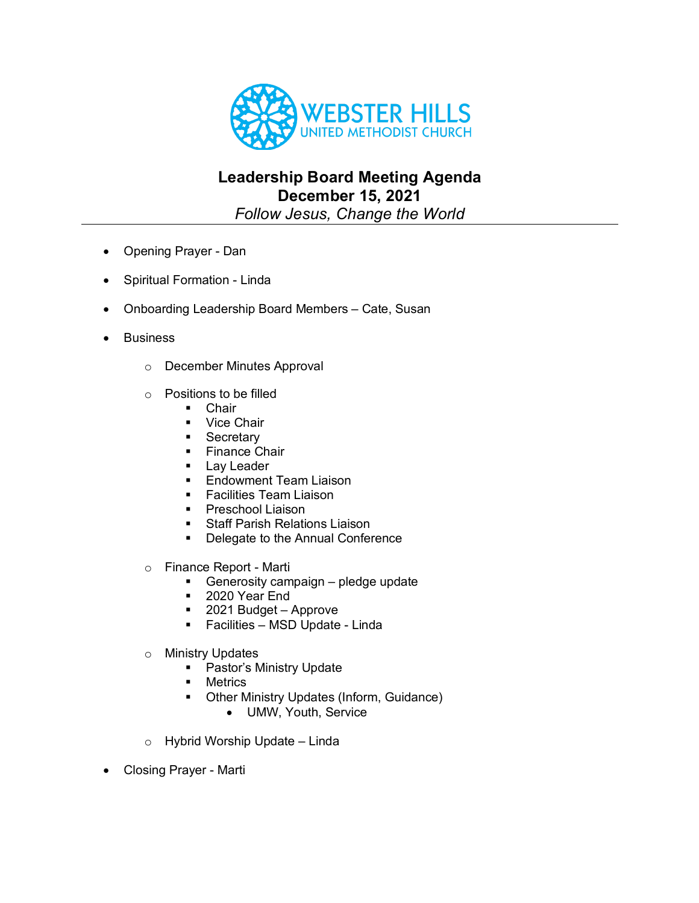

## **Leadership Board Meeting Agenda December 15, 2021**

*Follow Jesus, Change the World*

- Opening Prayer Dan
- Spiritual Formation Linda
- Onboarding Leadership Board Members Cate, Susan
- **Business** 
	- o December Minutes Approval
	- o Positions to be filled
		- Chair
		- Vice Chair
		- Secretary
		- Finance Chair
		- Lav Leader
		- Endowment Team Liaison
		- Facilities Team Liaison
		- Preschool Liaison
		- Staff Parish Relations Liaison
		- Delegate to the Annual Conference
	- o Finance Report Marti
		- Generosity campaign pledge update
		- § 2020 Year End
		- 2021 Budget Approve
		- Facilities MSD Update Linda
	- o Ministry Updates
		- Pastor's Ministry Update
		- Metrics
		- Other Ministry Updates (Inform, Guidance)
			- UMW, Youth, Service
	- o Hybrid Worship Update Linda
- Closing Prayer Marti